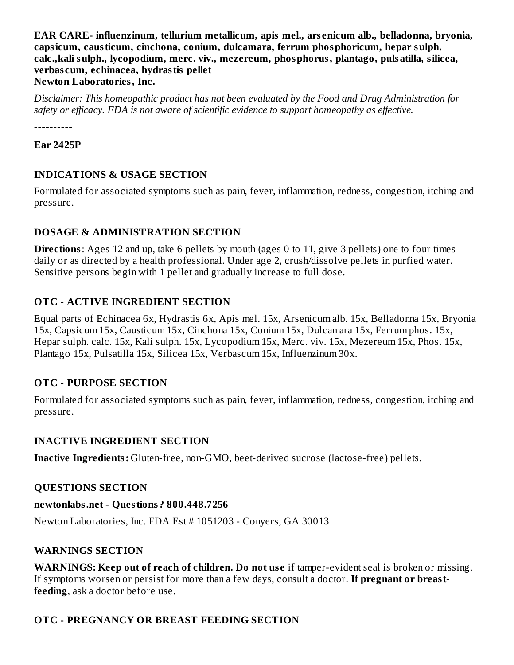**EAR CARE- influenzinum, tellurium metallicum, apis mel., ars enicum alb., belladonna, bryonia, capsicum, causticum, cinchona, conium, dulcamara, ferrum phosphoricum, hepar sulph. calc.,kali sulph., lycopodium, merc. viv., mezereum, phosphorus, plantago, pulsatilla, silicea, verbas cum, echinacea, hydrastis pellet Newton Laboratories, Inc.**

*Disclaimer: This homeopathic product has not been evaluated by the Food and Drug Administration for safety or efficacy. FDA is not aware of scientific evidence to support homeopathy as effective.*

----------

**Ear 2425P**

#### **INDICATIONS & USAGE SECTION**

Formulated for associated symptoms such as pain, fever, inflammation, redness, congestion, itching and pressure.

#### **DOSAGE & ADMINISTRATION SECTION**

**Directions**: Ages 12 and up, take 6 pellets by mouth (ages 0 to 11, give 3 pellets) one to four times daily or as directed by a health professional. Under age 2, crush/dissolve pellets in purfied water. Sensitive persons begin with 1 pellet and gradually increase to full dose.

### **OTC - ACTIVE INGREDIENT SECTION**

Equal parts of Echinacea 6x, Hydrastis 6x, Apis mel. 15x, Arsenicum alb. 15x, Belladonna 15x, Bryonia 15x, Capsicum 15x, Causticum 15x, Cinchona 15x, Conium 15x, Dulcamara 15x, Ferrum phos. 15x, Hepar sulph. calc. 15x, Kali sulph. 15x, Lycopodium 15x, Merc. viv. 15x, Mezereum 15x, Phos. 15x, Plantago 15x, Pulsatilla 15x, Silicea 15x, Verbascum 15x, Influenzinum 30x.

### **OTC - PURPOSE SECTION**

Formulated for associated symptoms such as pain, fever, inflammation, redness, congestion, itching and pressure.

#### **INACTIVE INGREDIENT SECTION**

**Inactive Ingredients:** Gluten-free, non-GMO, beet-derived sucrose (lactose-free) pellets.

#### **QUESTIONS SECTION**

#### **newtonlabs.net - Questions? 800.448.7256**

Newton Laboratories, Inc. FDA Est # 1051203 - Conyers, GA 30013

#### **WARNINGS SECTION**

**WARNINGS: Keep out of reach of children. Do not us e** if tamper-evident seal is broken or missing. If symptoms worsen or persist for more than a few days, consult a doctor. **If pregnant or breastfeeding**, ask a doctor before use.

#### **OTC - PREGNANCY OR BREAST FEEDING SECTION**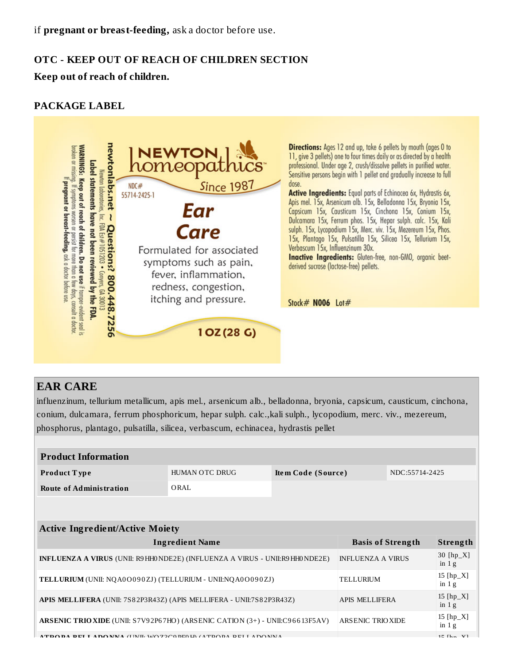## **OTC - KEEP OUT OF REACH OF CHILDREN SECTION**

#### **Keep out of reach of children.**

#### **PACKAGE LABEL**



# **EAR CARE**

influenzinum, tellurium metallicum, apis mel., arsenicum alb., belladonna, bryonia, capsicum, causticum, cinchona, conium, dulcamara, ferrum phosphoricum, hepar sulph. calc.,kali sulph., lycopodium, merc. viv., mezereum, phosphorus, plantago, pulsatilla, silicea, verbascum, echinacea, hydrastis pellet

| <b>Product Information</b>                                                            |                       |                    |                          |                |                        |  |
|---------------------------------------------------------------------------------------|-----------------------|--------------------|--------------------------|----------------|------------------------|--|
| <b>Product Type</b>                                                                   | <b>HUMAN OTC DRUG</b> | Item Code (Source) |                          | NDC:55714-2425 |                        |  |
| <b>Route of Administration</b>                                                        | ORAL                  |                    |                          |                |                        |  |
|                                                                                       |                       |                    |                          |                |                        |  |
|                                                                                       |                       |                    |                          |                |                        |  |
| <b>Active Ingredient/Active Moiety</b>                                                |                       |                    |                          |                |                        |  |
| <b>Ingredient Name</b>                                                                |                       |                    | <b>Basis of Strength</b> |                | <b>Strength</b>        |  |
| <b>INFLUENZA A VIRUS</b> (UNII: R9 HH0 NDE2E) (INFLUENZA A VIRUS - UNII:R9 HH0 NDE2E) |                       |                    | <b>INFLUENZA A VIRUS</b> |                | 30 [hp_X]<br>in $1g$   |  |
| TELLURIUM (UNII: NOA0O090ZJ) (TELLURIUM - UNII:NOA0O090ZJ)                            |                       |                    | <b>TELLURIUM</b>         |                | 15 $[hp_X]$<br>in $1g$ |  |
| APIS MELLIFERA (UNII: 7S82P3R43Z) (APIS MELLIFERA - UNII:7S82P3R43Z)                  |                       |                    | APIS MELLIFERA           |                | 15 $[hp_X]$<br>in $1g$ |  |
| <b>ARSENIC TRIO XIDE</b> (UNII: S7V92P67HO) (ARSENIC CATION $(3+)$ - UNII:C96613F5AV) |                       |                    | <b>ARSENIC TRIOXIDE</b>  |                | 15 $[hp_X]$<br>in $1g$ |  |
| ADONNA (UNIL MOZ2CODECH) (ATRODA RELLADONNIA                                          |                       |                    |                          |                | $10 \text{ Hz}$ V      |  |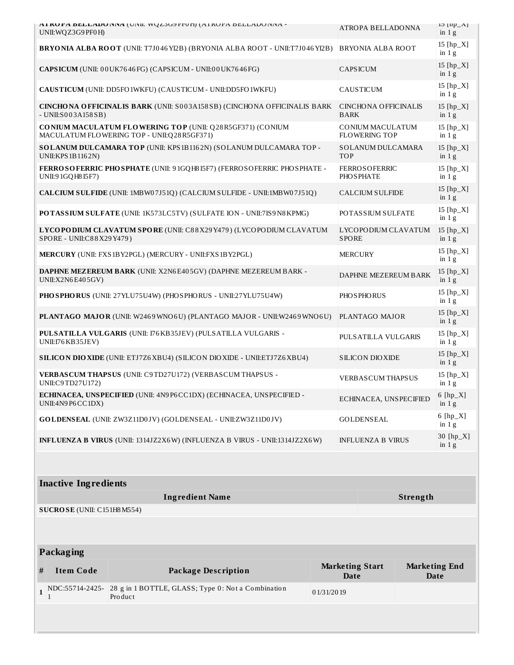| AI KUPA DELLADUNNA (UNII: WŲ ZJUJPIUH) (AI KUPA DELLADUNNA -<br>UNII: WQ Z3G9 PF0 H)                            | ATROPA BELLADONNA                          |  | 15 [IIP_ $\Delta$ ]<br>in $1g$         |  |  |
|-----------------------------------------------------------------------------------------------------------------|--------------------------------------------|--|----------------------------------------|--|--|
| BRYONIA ALBA ROOT (UNII: T7J046 YI2B) (BRYONIA ALBA ROOT - UNII:T7J046 YI2B)                                    | <b>BRYONIA ALBA ROOT</b>                   |  | 15 [hp_X]<br>in $1g$                   |  |  |
| CAPSICUM (UNII: 00UK7646FG) (CAPSICUM - UNII:00UK7646FG)                                                        | <b>CAPSICUM</b>                            |  | 15 $[hp_X]$<br>$\operatorname{in} 1$ g |  |  |
| CAUSTICUM (UNII: DD5FO1WKFU) (CAUSTICUM - UNII:DD5FO1WKFU)                                                      | CAUSTICUM                                  |  | 15 [hp_X]<br>in $1g$                   |  |  |
| <b>CINCHONA OFFICINALIS BARK (UNII: S003A158SB) (CINCHONA OFFICINALIS BARK</b><br>$-$ UNII:S003A158SB)          | <b>CINCHONA OFFICINALIS</b><br><b>BARK</b> |  | 15 $[hp_X]$<br>in $1g$                 |  |  |
| CONIUM MACULATUM FLOWERING TOP (UNII: Q28 R5GF371) (CONIUM<br>MACULATUM FLOWERING TOP - UNII:Q28R5GF371)        | CONIUM MACULATUM<br><b>FLOWERING TOP</b>   |  | $15$ [hp_X]<br>in $1g$                 |  |  |
| SOLANUM DULCAMARA TOP (UNII: KPS1B1162N) (SOLANUM DULCAMARA TOP -<br><b>UNII:KPS 1B1162N)</b>                   | <b>SOLANUM DULCAMARA</b><br><b>TOP</b>     |  | 15 $[hp_X]$<br>in 1g                   |  |  |
| FERROSOFERRIC PHOSPHATE (UNII: 91GQH815F7) (FERROSOFERRIC PHOSPHATE -<br>UNII:9 1GQH8 I5F7)                     | <b>FERROSOFERRIC</b><br><b>PHOSPHATE</b>   |  | 15 [hp_X]<br>in 1g                     |  |  |
| CALCIUM SULFIDE (UNII: 1MBW07J51Q) (CALCIUM SULFIDE - UNII:1MBW07J51Q)                                          | <b>CALCIUM SULFIDE</b>                     |  | 15 [hp_X]<br>in $1g$                   |  |  |
| POTASSIUM SULFATE (UNII: 1K573LC5TV) (SULFATE ION - UNII:7IS9N8KPMG)                                            | POTASSIUM SULFATE                          |  | 15 [hp_X]<br>in $1g$                   |  |  |
| LYCOPODIUM CLAVATUM SPORE (UNII: C88X29Y479) (LYCOPODIUM CLAVATUM<br>SPORE - UNII:C88X29Y479)                   | LYCOPODIUM CLAVATUM<br><b>SPORE</b>        |  | 15 $[hp_X]$<br>in $1g$                 |  |  |
| MERCURY (UNII: FXS1BY2PGL) (MERCURY - UNII:FXS1BY2PGL)                                                          | <b>MERCURY</b>                             |  | 15 [hp_X]<br>in $1g$                   |  |  |
| DAPHNE MEZEREUM BARK (UNII: X2N6E405GV) (DAPHNE MEZEREUM BARK -<br>UNII:X2N6E405GV)                             | DAPHNE MEZEREUM BARK                       |  | 15 $[hp_X]$<br>in $1g$                 |  |  |
| PHOSPHORUS (UNII: 27YLU75U4W) (PHOSPHORUS - UNII:27YLU75U4W)                                                    | <b>PHOSPHORUS</b>                          |  | 15 [hp_X]<br>in 1g                     |  |  |
| PLANTAGO MAJOR (UNII: W2469 WNO6U) (PLANTAGO MAJOR - UNII:W2469 WNO6U)                                          | PLANTAGO MAJOR                             |  | 15 $[hp_X]$<br>in 1g                   |  |  |
| PULSATILLA VULGARIS (UNII: 176 KB35JEV) (PULSATILLA VULGARIS -<br>UNII:I76 KB35JEV)                             | PULSATILLA VULGARIS                        |  | 15 [hp_X]<br>in 1g                     |  |  |
| SILICON DIO XIDE (UNII: ETJ7Z6 XBU4) (SILICON DIO XIDE - UNII: ETJ7Z6 XBU4)<br><b>SILICON DIOXIDE</b>           |                                            |  |                                        |  |  |
| VERBASCUM THAPSUS (UNII: C9TD27U172) (VERBASCUM THAPSUS -<br><b>VERBASCUM THAPSUS</b><br>UNII:C9TD27U172)       |                                            |  | 15 [hp_X]<br>in $1g$                   |  |  |
| ECHINACEA, UNSPECIFIED (UNII: 4N9P6CC1DX) (ECHINACEA, UNSPECIFIED<br>ECHINACEA, UNSPECIFIED<br>UNII:4N9P6CC1DX) |                                            |  | $6$ [hp_X]<br>in $1g$                  |  |  |
| GOLDENSEAL (UNII: ZW3Z11D0JV) (GOLDENSEAL - UNII:ZW3Z11D0JV)                                                    | GOLDENSEAL                                 |  | $6$ [hp_X]<br>in $1g$                  |  |  |
| INFLUENZA B VIRUS (UNII: 1314JZ2X6W) (INFLUENZA B VIRUS - UNII:1314JZ2X6W)                                      | <b>INFLUENZA B VIRUS</b>                   |  | 30 [hp_X]<br>in $1g$                   |  |  |
|                                                                                                                 |                                            |  |                                        |  |  |
| <b>Inactive Ingredients</b>                                                                                     |                                            |  |                                        |  |  |
| <b>Ingredient Name</b><br>Strength                                                                              |                                            |  |                                        |  |  |
| SUCROSE (UNII: C151H8 M554)                                                                                     |                                            |  |                                        |  |  |
|                                                                                                                 |                                            |  |                                        |  |  |
| Packaging                                                                                                       |                                            |  |                                        |  |  |
| <b>Item Code</b><br><b>Package Description</b><br>#                                                             | <b>Marketing Start</b><br>Date<br>Date     |  | <b>Marketing End</b>                   |  |  |
| 28 g in 1 BOTTLE, GLASS; Type 0: Not a Combination<br>$1$ NDC:55714-2425-<br>Product                            | 01/31/2019                                 |  |                                        |  |  |
|                                                                                                                 |                                            |  |                                        |  |  |